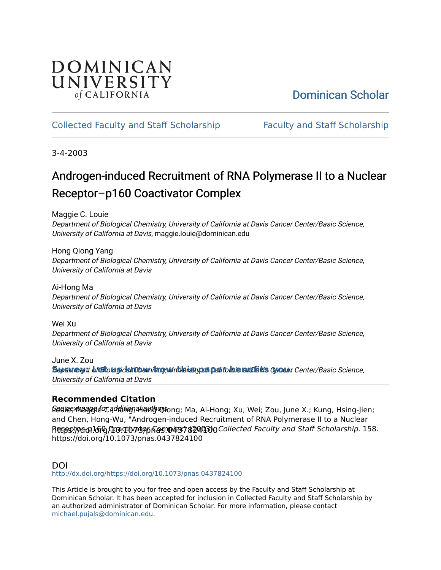# DOMINICAN UNIVERSITY of CALIFORNIA

# [Dominican Scholar](https://scholar.dominican.edu/)

## [Collected Faculty and Staff Scholarship](https://scholar.dominican.edu/all-faculty) [Faculty and Staff Scholarship](https://scholar.dominican.edu/faculty-scholarship)

3-4-2003

# Androgen-induced Recruitment of RNA Polymerase II to a Nuclear Receptor–p160 Coactivator Complex

Maggie C. Louie

Department of Biological Chemistry, University of California at Davis Cancer Center/Basic Science, University of California at Davis, maggie.louie@dominican.edu

Hong Qiong Yang Department of Biological Chemistry, University of California at Davis Cancer Center/Basic Science, University of California at Davis

Ai-Hong Ma Department of Biological Chemistry, University of California at Davis Cancer Center/Basic Science, University of California at Davis

Wei Xu

Department of Biological Chemistry, University of California at Davis Cancer Center/Basic Science, University of California at Davis

June X. Zou Supunt **e**rat bfBiological Chemistry, University of California at Davis Concer Center/Basic Science, University of California at Davis

## **Recommended Citation**

 $\mathsf{\mathsf{Seq}}$ iæ, Magggle ໌ପ ଼େ d���ing ମୂର୍4ା ଉର୍ଜାଡ଼ ଏହି ଦାସ, Ma, Ai-Hong; Xu, Wei; Zou, June X.; Kung, Hsing-Jien; Recostyvo of 1600 Gua. 10/239p Ras. @437 8240 30 Collected Faculty and Staff Scholarship. 158. and Chen, Hong-Wu, "Androgen-induced Recruitment of RNA Polymerase II to a Nuclear https://doi.org/10.1073/pnas.0437824100

### DOI

<http://dx.doi.org/https://doi.org/10.1073/pnas.0437824100>

This Article is brought to you for free and open access by the Faculty and Staff Scholarship at Dominican Scholar. It has been accepted for inclusion in Collected Faculty and Staff Scholarship by an authorized administrator of Dominican Scholar. For more information, please contact [michael.pujals@dominican.edu.](mailto:michael.pujals@dominican.edu)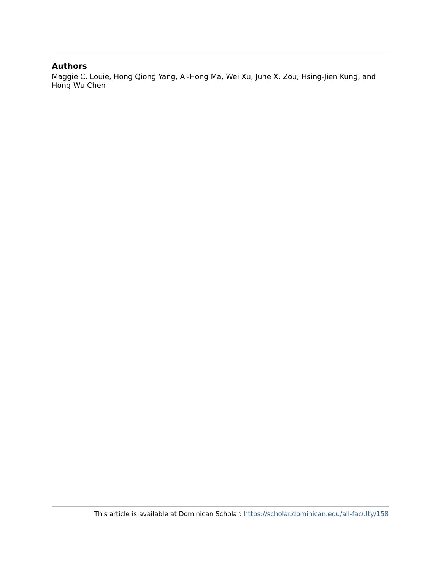### **Authors**

Maggie C. Louie, Hong Qiong Yang, Ai-Hong Ma, Wei Xu, June X. Zou, Hsing-Jien Kung, and Hong-Wu Chen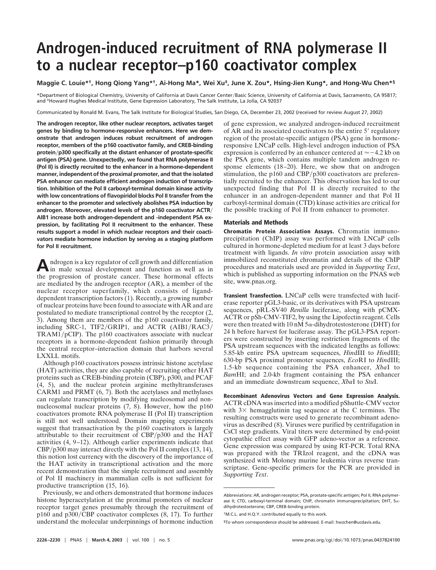# **Androgen-induced recruitment of RNA polymerase II to a nuclear receptor–p160 coactivator complex**

#### **Maggie C. Louie\*†, Hong Qiong Yang\*†, Ai-Hong Ma\*, Wei Xu‡, June X. Zou\*, Hsing-Jien Kung\*, and Hong-Wu Chen\*§**

\*Department of Biological Chemistry, University of California at Davis Cancer Center/Basic Science, University of California at Davis, Sacramento, CA 95817; and ‡Howard Hughes Medical Institute, Gene Expression Laboratory, The Salk Institute, La Jolla, CA 92037

Communicated by Ronald M. Evans, The Salk Institute for Biological Studies, San Diego, CA, December 23, 2002 (received for review August 27, 2002)

**The androgen receptor, like other nuclear receptors, activates target genes by binding to hormone-responsive enhancers. Here we demonstrate that androgen induces robust recruitment of androgen receptor, members of the p160 coactivator family, and CREB-binding proteinp300 specifically at the distant enhancer of prostate-specific antigen (PSA) gene. Unexpectedly, we found that RNA polymerase II (Pol II) is directly recruited to the enhancer in a hormone-dependent manner, independent of the proximal promoter, and that the isolated PSA enhancer can mediate efficient androgen induction of transcription. Inhibition of the Pol II carboxyl-terminal domain kinase activity with low concentrations of flavopiridol blocks Pol II transfer from the enhancer to the promoter and selectively abolishes PSA induction by androgen. Moreover, elevated levels of the p160 coactivator ACTR AIB1 increase both androgen-dependent and -independent PSA expression, by facilitating Pol II recruitment to the enhancer. These results support a model in which nuclear receptors and their coactivators mediate hormone induction by serving as a staging platform for Pol II recruitment.**

A ndrogen is a key regulator of cell growth and differentiation<br>in male sexual development and function as well as in the progression of prostate cancer. These hormonal effects are mediated by the androgen receptor (AR), a member of the nuclear receptor superfamily, which consists of liganddependent transcription factors (1). Recently, a growing number of nuclear proteins have been found to associate with AR and are postulated to mediate transcriptional control by the receptor (2, 3). Among them are members of the p160 coactivator family, including SRC-1, TIF2/GRIP1, and ACTR  $(AIB1/RAC3/$  $TRAM1/pCIP$ ). The p160 coactivators associate with nuclear receptors in a hormone-dependent fashion primarily through the central receptor–interaction domain that harbors several LXXLL motifs.

Although p160 coactivators possess intrinsic histone acetylase (HAT) activities, they are also capable of recruiting other HAT proteins such as CREB-binding protein (CBP), p300, and PCAF (4, 5), and the nuclear protein arginine methyltransferases CARM1 and PRMT (6, 7). Both the acetylases and methylases can regulate transcription by modifying nucleosomal and nonnucleosomal nuclear proteins (7, 8). However, how the p160 coactivators promote RNA polymerase II (Pol II) transcription is still not well understood. Domain mapping experiments suggest that transactivation by the p160 coactivators is largely attributable to their recruitment of  $CBP/p300$  and the HAT activities (4, 9–12). Although earlier experiments indicate that  $CBP/p300$  may interact directly with the Pol II complex (13, 14), this notion lost currency with the discovery of the importance of the HAT activity in transcriptional activation and the more recent demonstration that the simple recruitment and assembly of Pol II machinery in mammalian cells is not sufficient for productive transcription (15, 16).

Previously, we and others demonstrated that hormone induces histone hyperacetylation at the proximal promoters of nuclear receptor target genes presumably through the recruitment of p160 and p300/CBP coactivator complexes  $(8, 17)$ . To further understand the molecular underpinnings of hormone induction

of gene expression, we analyzed androgen-induced recruitment of AR and its associated coactivators to the entire 5' regulatory region of the prostate-specific antigen (PSA) gene in hormoneresponsive LNCaP cells. High-level androgen induction of PSA expression is conferred by an enhancer centered at  $\approx -4.2$  kb on the PSA gene, which contains multiple tandem androgen response elements (18–20). Here, we show that on androgen stimulation, the p160 and CBP/p300 coactivators are preferentially recruited to the enhancer. This observation has led to our unexpected finding that Pol II is directly recruited to the enhancer in an androgen-dependent manner and that Pol II carboxyl-terminal domain (CTD) kinase activities are critical for the possible tracking of Pol II from enhancer to promoter.

#### **Materials and Methods**

**Chromatin Protein Association Assays.** Chromatin immunoprecipitation (ChIP) assay was performed with LNCaP cells cultured in hormone-depleted medium for at least 3 days before treatment with ligands. *In vitro* protein association assay with immobilized reconstituted chromatin and details of the ChIP procedures and materials used are provided in *Supporting Text*, which is published as supporting information on the PNAS web site, www.pnas.org.

**Transient Transfection.** LNCaP cells were transfected with luciferase reporter pGL3-basic, or its derivatives with PSA upstream sequences, pRL-SV40 *Renilla* luciferase, along with pCMX-ACTR or pSh-CMV-TIF2, by using the Lipofectin reagent. Cells were then treated with 10 nM  $5\alpha$ -dihydrotestosterone (DHT) for 24 h before harvest for luciferase assay. The pGL3-PSA reporters were constructed by inserting restriction fragments of the PSA upstream sequences with the indicated lengths as follows: 5.85-kb entire PSA upstream sequences, *Hin*dIII to *Hin*dIII; 630-bp PSA proximal promoter sequences, *Eco*RI to *Hin*dIII; 1.5-kb sequence containing the PSA enhancer, *Xba*I to *Bam*HI; and 2.0-kb fragment containing the PSA enhancer and an immediate downstream sequence, *Xba*I to *Stu*I.

**Recombinant Adenovirus Vectors and Gene Expression Analysis.** ACTR cDNA was inserted into a modified pShuttle-CMV vector with  $3\times$  hemagglutinin tag sequence at the C terminus. The resulting constructs were used to generate recombinant adenovirus as described (8). Viruses were purified by centrifugation in CsCl step gradients. Viral titers were determined by end-point cytopathic effect assay with GFP adeno-vector as a reference. Gene expression was compared by using RT-PCR. Total RNA was prepared with the TRIzol reagent, and the cDNA was synthesized with Moloney murine leukemia virus reverse transcriptase. Gene-specific primers for the PCR are provided in *Supporting Text*.

Abbreviations: AR, androgen receptor; PSA, prostate-specific antigen; Pol II, RNA polymerase II; CTD, carboxyl-terminal domain; ChIP, chromatin immunoprecipitation; DHT,  $5\alpha$ dihydrotestosterone; CBP, CREB-binding protein.

<sup>†</sup>M.C.L. and H.Q.Y. contributed equally to this work.

<sup>§</sup>To whom correspondence should be addressed. E-mail: hwzchen@ucdavis.edu.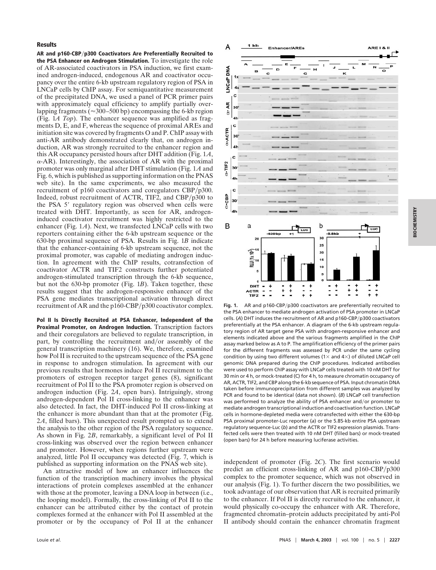#### **Results**

**AR and p160-CBPp300 Coactivators Are Preferentially Recruited to the PSA Enhancer on Androgen Stimulation.** To investigate the role of AR-associated coactivators in PSA induction, we first examined androgen-induced, endogenous AR and coactivator occupancy over the entire 6-kb upstream regulatory region of PSA in LNCaP cells by ChIP assay. For semiquantitative measurement of the precipitated DNA, we used a panel of PCR primer pairs with approximately equal efficiency to amplify partially overlapping fragments ( $\approx$ 300–500 bp) encompassing the 6-kb region (Fig. 1*A Top*). The enhancer sequence was amplified as fragments D, E, and F, whereas the sequence of proximal AREs and initiation site was covered by fragments O and P. ChIP assay with anti-AR antibody demonstrated clearly that, on androgen induction, AR was strongly recruited to the enhancer region and this AR occupancy persisted hours after DHT addition (Fig. 1*A*,  $\alpha$ -AR). Interestingly, the association of AR with the proximal promoter was only marginal after DHT stimulation (Fig. 1*A* and Fig. 6, which is published as supporting information on the PNAS web site). In the same experiments, we also measured the recruitment of  $p160$  coactivators and coregulators CBP/ $p300$ . Indeed, robust recruitment of ACTR, TIF2, and CBP $/p300$  to the PSA 5' regulatory region was observed when cells were treated with DHT. Importantly, as seen for AR, androgeninduced coactivator recruitment was highly restricted to the enhancer (Fig. 1*A*). Next, we transfected LNCaP cells with two reporters containing either the 6-kb upstream sequence or the 630-bp proximal sequence of PSA. Results in Fig. 1*B* indicate that the enhancer-containing 6-kb upstream sequence, not the proximal promoter, was capable of mediating androgen induction. In agreement with the ChIP results, cotransfection of coactivator ACTR and TIF2 constructs further potentiated androgen-stimulated transcription through the 6-kb sequence, but not the 630-bp promoter (Fig. 1*B*). Taken together, these results suggest that the androgen-responsive enhancer of the PSA gene mediates transcriptional activation through direct recruitment of AR and the p160-CBP/p300 coactivator complex.

**Pol II Is Directly Recruited at PSA Enhancer, Independent of the Proximal Promoter, on Androgen Induction.** Transcription factors and their coregulators are believed to regulate transcription, in part, by controlling the recruitment and/or assembly of the general transcription machinery (16). We, therefore, examined how Pol II is recruited to the upstream sequence of the PSA gene in response to androgen stimulation. In agreement with our previous results that hormones induce Pol II recruitment to the promoters of estrogen receptor target genes (8), significant recruitment of Pol II to the PSA promoter region is observed on androgen induction (Fig. 2*A*, open bars). Intriguingly, strong androgen-dependent Pol II cross-linking to the enhancer was also detected. In fact, the DHT-induced Pol II cross-linking at the enhancer is more abundant than that at the promoter (Fig. 2*A*, filled bars). This unexpected result prompted us to extend the analysis to the other region of the PSA regulatory sequence. As shown in Fig. 2*B*, remarkably, a significant level of Pol II cross-linking was observed over the region between enhancer and promoter. However, when regions further upstream were analyzed, little Pol II occupancy was detected (Fig. 7, which is published as supporting information on the PNAS web site).

An attractive model of how an enhancer influences the function of the transcription machinery involves the physical interactions of protein complexes assembled at the enhancer with those at the promoter, leaving a DNA loop in between (i.e., the looping model). Formally, the cross-linking of Pol II to the enhancer can be attributed either by the contact of protein complexes formed at the enhancer with Pol II assembled at the promoter or by the occupancy of Pol II at the enhancer



Fig. 1. AR and p160-CBP/p300 coactivators are preferentially recruited to the PSA enhancer to mediate androgen activation of PSA promoter in LNCaP cells. (A) DHT induces the recruitment of AR and p160-CBP/p300 coactivators preferentially at the PSA enhancer. A diagram of the 6-kb upstream regulatory region of AR target gene PSA with androgen-responsive enhancer and elements indicated above and the various fragments amplified in the ChIP assay marked below as A to P. The amplification efficiency of the primer pairs for the different fragments was assessed by PCR under the same cycling condition by using two different volumes (1 $\times$  and 4 $\times$ ) of diluted LNCaP cell genomic DNA prepared during the ChIP procedures. Indicated antibodies were used to perform ChIP assay with LNCaP cells treated with 10 nM DHT for 30 min or 4 h, or mock-treated (C) for 4 h, to measure chromatin occupancy of AR, ACTR, TIF2, and CBP along the 6-kb sequence of PSA. Input chromatin DNA taken before immunoprecipitation from different samples was analyzed by PCR and found to be identical (data not shown). (*B*) LNCaP cell transfection was performed to analyze the ability of PSA enhancer and/or promoter to mediate androgen transcriptional induction and coactivation function. LNCaP cells in hormone-depleted media were cotransfected with either the 630-bp PSA proximal promoter-Luc reporter (*a*) or the 5.85-kb entire PSA upstream regulatory sequence-Luc (*b*) and the ACTR or TIF2 expression plasmids. Transfected cells were then treated with 10 nM DHT (filled bars) or mock-treated (open bars) for 24 h before measuring luciferase activities.

independent of promoter (Fig. 2*C*). The first scenario would predict an efficient cross-linking of AR and  $p160-CBP/p300$ complex to the promoter sequence, which was not observed in our analysis (Fig. 1). To further discern the two possibilities, we took advantage of our observation that AR is recruited primarily to the enhancer. If Pol II is directly recruited to the enhancer, it would physically co-occupy the enhancer with AR. Therefore, fragmented chromatin–protein adducts precipitated by anti-Pol II antibody should contain the enhancer chromatin fragment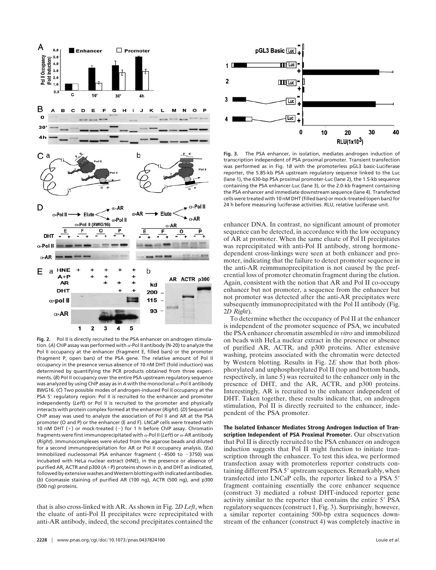

**Fig. 2.** Pol II is directly recruited to the PSA enhancer on androgen stimulation. (A) ChIP assay was performed with  $\alpha$ -Pol II antibody (N-20) to analyze the Pol II occupancy at the enhancer (fragment E, filled bars) or the promoter (fragment P, open bars) of the PSA gene. The relative amount of Pol II occupancy in the presence versus absence of 10 nM DHT (fold induction) was determined by quantifying the PCR products obtained from three experiments. (*B*) Pol II occupancy over the entire PSA upstream regulatory sequence was analyzed by using ChIP assay as in  $A$  with the monoclonal  $\alpha$ -Pol II antibody 8WG16. (*C*) Two possible modes of androgen-induced Pol II occupancy at the PSA 5' regulatory region: Pol II is recruited to the enhancer and promoter independently (*Left*) or Pol II is recruited to the promoter and physically interacts with protein complex formed at the enhancer (*Right*). (*D*) Sequential ChIP assay was used to analyze the association of Pol II and AR at the PSA promoter (O and P) or the enhancer (E and F). LNCaP cells were treated with 10 nM DHT  $(+)$  or mock-treated  $(-)$  for 1 h before ChIP assay. Chromatin fragments were first immunoprecipitated with  $\alpha$ -Pol II (*Left*) or  $\alpha$ -AR antibody (*Right*). Immunocomplexes were eluted from the agarose beads and diluted for a second immunoprecipitation for AR or Pol II occupancy analysis. (*Ea*) Immobilized nucleosomal PSA enhancer fragment  $(-4500$  to  $-3750)$  was incubated with HeLa nuclear extract (HNE), in the presence or absence of purified AR, ACTR and p300 (A+P) proteins shown in *b*, and DHT as indicated, followed by extensive washes and Western blotting with indicated antibodies. (*b*) Coomassie staining of purified AR (100 ng), ACTR (500 ng), and p300 (500 ng) proteins.

that is also cross-linked with AR. As shown in Fig. 2*D Left*, when the eluate of anti-Pol II precipitates were reprecipitated with anti-AR antibody, indeed, the second precipitates contained the



**Fig. 3.** The PSA enhancer, in isolation, mediates androgen induction of transcription independent of PSA proximal promoter. Transient transfection was performed as in Fig. 1*B* with the promoterless pGL3 basic-Luciferase reporter, the 5.85-kb PSA upstream regulatory sequence linked to the Luc (lane 1), the 630-bp PSA proximal promoter-Luc (lane 2), the 1.5-kb sequence containing the PSA enhancer-Luc (lane 3), or the 2.0-kb fragment containing the PSA enhancer and immediate downstream sequence (lane 4). Transfected cells were treated with 10 nM DHT (filled bars) or mock-treated (open bars) for 24 h before measuring luciferase activities. RLU, relative luciferase unit.

enhancer DNA. In contrast, no significant amount of promoter sequence can be detected, in accordance with the low occupancy of AR at promoter. When the same eluate of Pol II precipitates was reprecipitated with anti-Pol II antibody, strong hormonedependent cross-linkings were seen at both enhancer and promoter, indicating that the failure to detect promoter sequence in the anti-AR reimmunoprecipitation is not caused by the preferential loss of promoter chromatin fragment during the elution. Again, consistent with the notion that AR and Pol II co-occupy enhancer but not promoter, a sequence from the enhancer but not promoter was detected after the anti-AR precipitates were subsequently immunoprecipitated with the Pol II antibody (Fig. 2*D Right*).

To determine whether the occupancy of Pol II at the enhancer is independent of the promoter sequence of PSA, we incubated the PSA enhancer chromatin assembled *in vitro* and immobilized on beads with HeLa nuclear extract in the presence or absence of purified AR, ACTR, and p300 proteins. After extensive washing, proteins associated with the chromatin were detected by Western blotting. Results in Fig. 2*E* show that both phosphorylated and unphosphorylated Pol II (top and bottom bands, respectively, in lane 5) was recruited to the enhancer only in the presence of DHT, and the AR, ACTR, and p300 proteins. Interestingly, AR is recruited to the enhancer independent of DHT. Taken together, these results indicate that, on androgen stimulation, Pol II is directly recruited to the enhancer, independent of the PSA promoter.

**The Isolated Enhancer Mediates Strong Androgen Induction of Transcription Independent of PSA Proximal Promoter.** Our observation that Pol II is directly recruited to the PSA enhancer on androgen induction suggests that Pol II might function to initiate transcription through the enhancer. To test this idea, we performed transfection assay with promoterless reporter constructs containing different PSA 5' upstream sequences. Remarkably, when transfected into LNCaP cells, the reporter linked to a PSA 5 fragment containing essentially the core enhancer sequence (construct 3) mediated a robust DHT-induced reporter gene activity similar to the reporter that contains the entire 5' PSA regulatory sequences (construct 1, Fig. 3). Surprisingly, however, a similar reporter containing 500-bp extra sequences downstream of the enhancer (construct 4) was completely inactive in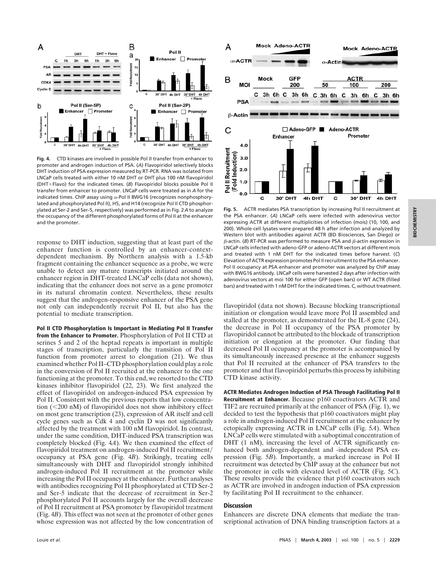

**Fig. 4.** CTD kinases are involved in possible Pol II transfer from enhancer to promoter and androgen induction of PSA. (*A*) Flavopiridol selectively blocks DHT induction of PSA expression measured by RT-PCR. RNA was isolated from LNCaP cells treated with either 10 nM DHT or DHT plus 100 nM flavopiridol (DHT+Flavo) for the indicated times. (B) Flavopiridol blocks possible Pol II transfer from enhancer to promoter. LNCaP cells were treated as in *A* for the indicated times. ChIP assay using  $\alpha$ -Pol II 8WG16 (recognizes nonphosphorylated and phosphorylated Pol II), H5, and H14 (recognize Pol II CTD phosphorylated at Ser-2 and Ser-5, respectively) was performed as in Fig. 2*A* to analyze the occupancy of the different phosphorylated forms of Pol II at the enhancer and the promoter.

response to DHT induction, suggesting that at least part of the enhancer function is controlled by an enhancer-contextdependent mechanism. By Northern analysis with a 1.5-kb fragment containing the enhancer sequence as a probe, we were unable to detect any mature transcripts initiated around the enhancer region in DHT-treated LNCaP cells (data not shown), indicating that the enhancer does not serve as a gene promoter in its natural chromatin context. Nevertheless, these results suggest that the androgen-responsive enhancer of the PSA gene not only can independently recruit Pol II, but also has the potential to mediate transcription.

**Pol II CTD Phosphorylation Is Important in Mediating Pol II Transfer from the Enhancer to Promoter.** Phosphorylation of Pol II CTD at serines 5 and 2 of the heptad repeats is important in multiple stages of transcription, particularly the transition of Pol II function from promoter arrest to elongation (21). We thus examined whether Pol II–CTD phosphorylation could play a role in the conversion of Pol II recruited at the enhancer to the one functioning at the promoter. To this end, we resorted to the CTD kinases inhibitor flavopiridol (22, 23). We first analyzed the effect of flavopiridol on androgen-induced PSA expression by Pol II. Consistent with the previous reports that low concentration  $(<200 \text{ nM})$  of flavopiridol does not show inhibitory effect on most gene transcription (23), expression of AR itself and cell cycle genes such as Cdk 4 and cyclin D was not significantly affected by the treatment with 100 nM flavopiridol. In contrast, under the same condition, DHT-induced PSA transcription was completely blocked (Fig. 4*A*). We then examined the effect of flavopiridol treatment on androgen-induced Pol II recruitment/ occupancy at PSA gene (Fig. 4*B*). Strikingly, treating cells simultaneously with DHT and flavopiridol strongly inhibited androgen-induced Pol II recruitment at the promoter while increasing the Pol II occupancy at the enhancer. Further analyses with antibodies recognizing Pol II phosphorylated at CTD Ser-2 and Ser-5 indicate that the decrease of recruitment in Ser-2 phosphorylated Pol II accounts largely for the overall decrease of Pol II recruitment at PSA promoter by flavopiridol treatment (Fig. 4*B*). This effect was not seen at the promoter of other genes whose expression was not affected by the low concentration of



**Fig. 5.** ACTR mediates PSA transcription by increasing Pol II recruitment at the PSA enhancer. (*A*) LNCaP cells were infected with adenovirus vector expressing ACTR at different multiplicities of infection (mois) (10, 100, and 200). Whole-cell lysates were prepared 48 h after infection and analyzed by Western blot with antibodies against ACTR (BD Biosciences, San Diego) or  $\beta$ -actin. (B) RT-PCR was performed to measure PSA and  $\beta$ -actin expression in LNCaP cells infected with adeno-GFP or adeno-ACTR vectors at different mois and treated with 1 nM DHT for the indicated times before harvest. (*C*) Elevation of ACTR expression promotes Pol II recruitment to the PSA enhancer. Pol II occupancy at PSA enhancer and promoter was analyzed by ChIP assay with 8WG16 antibody. LNCaP cells were harvested 2 days after infection with adenovirus vectors at moi 100 for either GFP (open bars) or WT ACTR (filled bars) and treated with 1 nM DHT for the indicated times. C, without treatment.

flavopiridol (data not shown). Because blocking transcriptional initiation or elongation would leave more Pol II assembled and stalled at the promoter, as demonstrated for the IL-8 gene (24), the decrease in Pol II occupancy of the PSA promoter by flavopiridol cannot be attributed to the blockade of transcription initiation or elongation at the promoter. Our finding that decreased Pol II occupancy at the promoter is accompanied by its simultaneously increased presence at the enhancer suggests that Pol II recruited at the enhancer of PSA transfers to the promoter and that flavopiridol perturbs this process by inhibiting CTD kinase activity.

**ACTR Mediates Androgen Induction of PSA Through Facilitating Pol II Recruitment at Enhancer.** Because p160 coactivators ACTR and TIF2 are recruited primarily at the enhancer of PSA (Fig. 1), we decided to test the hypothesis that p160 coactivators might play a role in androgen-induced Pol II recruitment at the enhancer by ectopically expressing ACTR in LNCaP cells (Fig. 5*A*). When LNCaP cells were stimulated with a suboptimal concentration of DHT (1 nM), increasing the level of ACTR significantly enhanced both androgen-dependent and -independent PSA expression (Fig. 5*B*). Importantly, a marked increase in Pol II recruitment was detected by ChIP assay at the enhancer but not the promoter in cells with elevated level of ACTR (Fig. 5*C*). These results provide the evidence that p160 coactivators such as ACTR are involved in androgen induction of PSA expression by facilitating Pol II recruitment to the enhancer.

#### **Discussion**

Enhancers are discrete DNA elements that mediate the transcriptional activation of DNA binding transcription factors at a